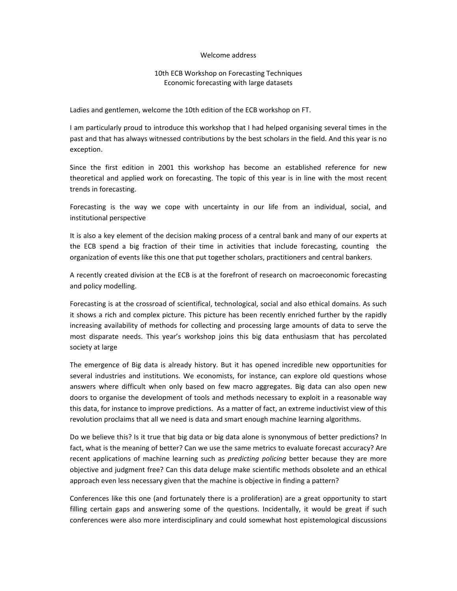## Welcome address

## 10th ECB Workshop on Forecasting Techniques Economic forecasting with large datasets

Ladies and gentlemen, welcome the 10th edition of the ECB workshop on FT.

I am particularly proud to introduce this workshop that I had helped organising several times in the past and that has always witnessed contributions by the best scholars in the field. And this year is no exception.

Since the first edition in 2001 this workshop has become an established reference for new theoretical and applied work on forecasting. The topic of this year is in line with the most recent trends in forecasting.

Forecasting is the way we cope with uncertainty in our life from an individual, social, and institutional perspective

It is also a key element of the decision making process of a central bank and many of our experts at the ECB spend a big fraction of their time in activities that include forecasting, counting the organization of events like this one that put together scholars, practitioners and central bankers.

A recently created division at the ECB is at the forefront of research on macroeconomic forecasting and policy modelling.

Forecasting is at the crossroad of scientifical, technological, social and also ethical domains. As such it shows a rich and complex picture. This picture has been recently enriched further by the rapidly increasing availability of methods for collecting and processing large amounts of data to serve the most disparate needs. This year's workshop joins this big data enthusiasm that has percolated society at large

The emergence of Big data is already history. But it has opened incredible new opportunities for several industries and institutions. We economists, for instance, can explore old questions whose answers where difficult when only based on few macro aggregates. Big data can also open new doors to organise the development of tools and methods necessary to exploit in a reasonable way this data, for instance to improve predictions. As a matter of fact, an extreme inductivist view of this revolution proclaims that all we need is data and smart enough machine learning algorithms.

Do we believe this? Is it true that big data or big data alone is synonymous of better predictions? In fact, what is the meaning of better? Can we use the same metrics to evaluate forecast accuracy? Are recent applications of machine learning such as *predicting policing* better because they are more objective and judgment free? Can this data deluge make scientific methods obsolete and an ethical approach even less necessary given that the machine is objective in finding a pattern?

Conferences like this one (and fortunately there is a proliferation) are a great opportunity to start filling certain gaps and answering some of the questions. Incidentally, it would be great if such conferences were also more interdisciplinary and could somewhat host epistemological discussions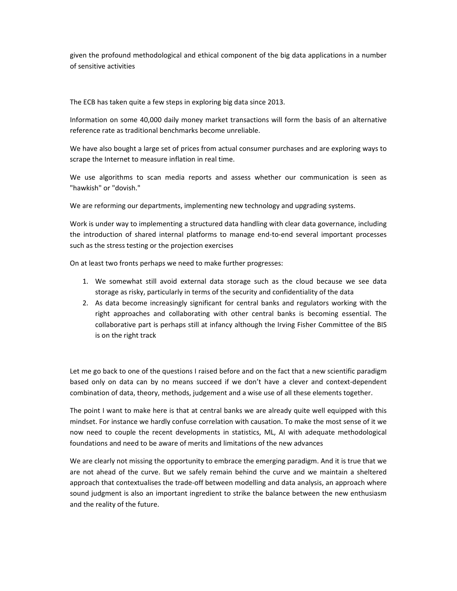given the profound methodological and ethical component of the big data applications in a number of sensitive activities

The ECB has taken quite a few steps in exploring big data since 2013.

Information on some 40,000 daily money market transactions will form the basis of an alternative reference rate as traditional benchmarks become unreliable.

We have also bought a large set of prices from actual consumer purchases and are exploring ways to scrape the Internet to measure inflation in real time.

We use algorithms to scan media reports and assess whether our communication is seen as "hawkish" or "dovish."

We are reforming our departments, implementing new technology and upgrading systems.

Work is under way to implementing a structured data handling with clear data governance, including the introduction of shared internal platforms to manage end‐to‐end several important processes such as the stress testing or the projection exercises

On at least two fronts perhaps we need to make further progresses:

- 1. We somewhat still avoid external data storage such as the cloud because we see data storage as risky, particularly in terms of the security and confidentiality of the data
- 2. As data become increasingly significant for central banks and regulators working with the right approaches and collaborating with other central banks is becoming essential. The collaborative part is perhaps still at infancy although the Irving Fisher Committee of the BIS is on the right track

Let me go back to one of the questions I raised before and on the fact that a new scientific paradigm based only on data can by no means succeed if we don't have a clever and context‐dependent combination of data, theory, methods, judgement and a wise use of all these elements together.

The point I want to make here is that at central banks we are already quite well equipped with this mindset. For instance we hardly confuse correlation with causation. To make the most sense of it we now need to couple the recent developments in statistics, ML, AI with adequate methodological foundations and need to be aware of merits and limitations of the new advances

We are clearly not missing the opportunity to embrace the emerging paradigm. And it is true that we are not ahead of the curve. But we safely remain behind the curve and we maintain a sheltered approach that contextualises the trade‐off between modelling and data analysis, an approach where sound judgment is also an important ingredient to strike the balance between the new enthusiasm and the reality of the future.